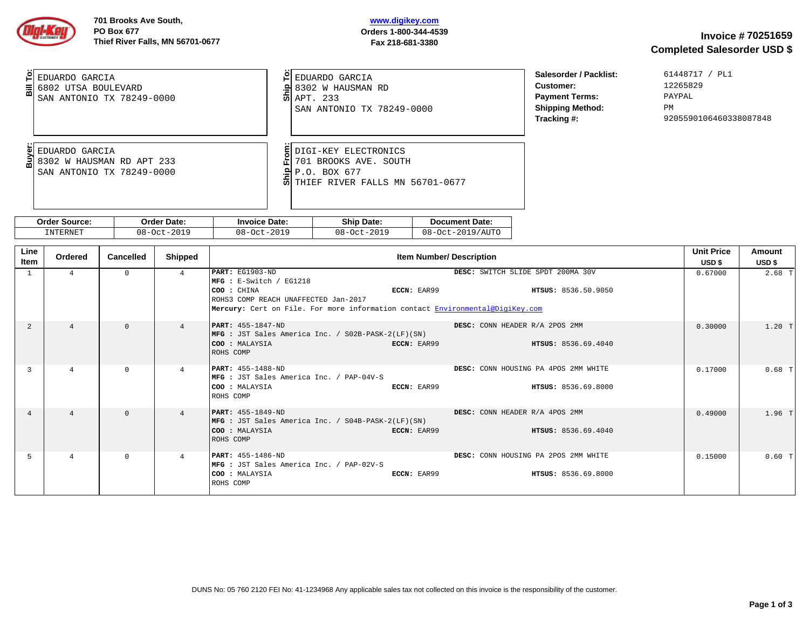## **www.digikey.com Orders 1-800-344-4539 Fax 218-681-3380**

| EDUARDO GARCIA<br>$\frac{1}{2}$ 6802 UTSA BOULEVARD<br>SAN ANTONIO TX 78249-0000 | EDUARDO GARCIA<br>$\approx$ 8302 W HAUSMAN RD<br><b>헤</b> APT, 233<br>SAN ANTONIO TX 78249-0000                    | Salesorder / Packlist:<br>Customer:<br><b>Payment Terms:</b><br><b>Shipping Method:</b><br>Tracking #: | 61448717 / PL1<br>12265829<br>PAYPAL<br><b>PM</b><br>9205590106460338087848 |
|----------------------------------------------------------------------------------|--------------------------------------------------------------------------------------------------------------------|--------------------------------------------------------------------------------------------------------|-----------------------------------------------------------------------------|
| EDUARDO GARCIA<br>؏ 8302 W HAUSMAN RD APT 233<br>SAN ANTONIO TX 78249-0000       | DIGI-KEY ELECTRONICS<br>701 BROOKS AVE. SOUTH<br>.의 P.O. BOX 677<br>$\overline{0}$ THIEF RIVER FALLS MN 56701-0677 |                                                                                                        |                                                                             |

| Order   | Date:                  | Date:   | Shir       | <sup>*</sup> Date: |
|---------|------------------------|---------|------------|--------------------|
| ™ource: | )rder                  | Invoice | Date:      | Document           |
| .TERNET | 2010                   | 2019    | $08 - 0c'$ | 2019/AUT0          |
| IN.     | $08 - 0c$ <sup>+</sup> | 08-0ct  | 2019       | 08                 |
|         |                        | ____    | ____       | - 0c′              |

| Line<br>Item | Ordered        | Cancelled | Shipped        | <b>Item Number/ Description</b>                                                                                                                                                                                                                                             | <b>Unit Price</b><br>USD \$ | Amount<br>USD \$ |
|--------------|----------------|-----------|----------------|-----------------------------------------------------------------------------------------------------------------------------------------------------------------------------------------------------------------------------------------------------------------------------|-----------------------------|------------------|
| $\mathbf{1}$ | $\overline{a}$ | $\Theta$  | $\overline{4}$ | PART: EG1903-ND<br>DESC: SWITCH SLIDE SPDT 200MA 30V<br>MFG : E-Switch / EG1218<br><b>ECCN: EAR99</b><br>COO : CHINA<br><b>HTSUS: 8536.50.9050</b><br>ROHS3 COMP REACH UNAFFECTED Jan-2017<br>Mercury: Cert on File. For more information contact Environmental@DigiKey.com | 0.67000                     | $2.68$ T         |
| 2            | $\overline{4}$ | $\Omega$  | $\overline{a}$ | DESC: CONN HEADER R/A 2POS 2MM<br><b>PART:</b> 455-1847-ND<br>MFG : JST Sales America Inc. / S02B-PASK-2(LF)(SN)<br>COO : MALAYSIA<br>ECCN: EAR99<br><b>HTSUS: 8536.69.4040</b><br>ROHS COMP                                                                                | 0.30000                     | $1.20$ T         |
| 3            | $\Delta$       | $\Theta$  | $\overline{a}$ | $PART: 455 - 1488 - ND$<br><b>DESC: CONN HOUSING PA 4POS 2MM WHITE</b><br>MFG : JST Sales America Inc. / PAP-04V-S<br><b>COO : MALAYSIA</b><br><b>ECCN: EAR99</b><br><b>HTSUS: 8536.69.8000</b><br>ROHS COMP                                                                | 0.17000                     | $0.68$ 1         |
| $\Delta$     | $\overline{4}$ | $\Omega$  | $\overline{a}$ | <b>PART:</b> 455-1849-ND<br>DESC: CONN HEADER R/A 4POS 2MM<br>MFG : JST Sales America Inc. / S04B-PASK-2(LF)(SN)<br><b>COO :</b> MALAYSIA<br>ECCN: EAR99<br><b>HTSUS: 8536.69.4040</b><br>ROHS COMP                                                                         | 0.49000                     | $1.96$ T         |
| 5            | $\Delta$       | $\Theta$  | $\overline{a}$ | <b>PART: 455-1486-ND</b><br>DESC: CONN HOUSING PA 2POS 2MM WHITE<br>MFG : JST Sales America Inc. / PAP-02V-S<br><b>HTSUS: 8536.69.8000</b><br><b>COO : MALAYSIA</b><br>ECCN: EAR99<br>ROHS COMP                                                                             | 0.15000                     | $0.60$ 1         |

DUNS No: 05 760 2120 FEI No: 41-1234968 Any applicable sales tax not collected on this invoice is the responsibility of the customer.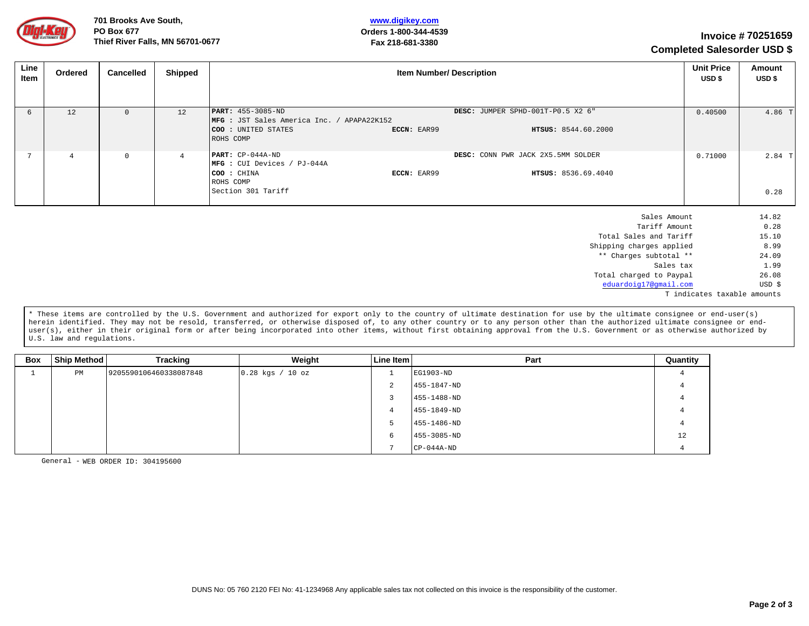

**701 Brooks Ave South, PO Box 677 Thief River Falls, MN 56701-0677 <sup>70251659</sup>**

## **www.digikey.com Orders 1-800-344-4539 Fax 218-681-3380**

# **Invoice # Completed Salesorder USD \$**

| Line<br>Item | Ordered        | Cancelled | Shipped        | <b>Item Number/ Description</b>                                                                                   |             |                                                           | <b>Unit Price</b><br>USD \$ | Amount<br>USD \$ |
|--------------|----------------|-----------|----------------|-------------------------------------------------------------------------------------------------------------------|-------------|-----------------------------------------------------------|-----------------------------|------------------|
|              |                |           |                |                                                                                                                   |             |                                                           |                             |                  |
| 6            | 12             | $\Theta$  | 12             | $ PART: 455 - 3085 - ND$<br>MFG : JST Sales America Inc. / APAPA22K152<br><b>COO</b> : UNITED STATES<br>ROHS COMP | ECCN: EAR99 | DESC: JUMPER SPHD-001T-P0.5 X2 6"<br>HTSUS: 8544.60.2000  | 0.40500                     | 4.86 T           |
|              | $\overline{4}$ | $\Theta$  | $\overline{4}$ | $PART: CP-044A-ND$<br>$MFG: CUI Devices / PJ-044A$<br>COO : CHINA<br>ROHS COMP<br>Section 301 Tariff              | ECCN: EAR99 | DESC: CONN PWR JACK 2X5.5MM SOLDER<br>HTSUS: 8536.69.4040 | 0.71000                     | $2.84$ T<br>0.28 |
|              |                |           |                |                                                                                                                   |             | Sales Amount<br>Tariff Amount<br>_ _ _ _ _ _ _ _ _ _ _ _  |                             | 14.82<br>0.28    |

| Sales Amount                | 14.82             |
|-----------------------------|-------------------|
| Tariff Amount               | 0.28              |
| Total Sales and Tariff      | 15.10             |
| Shipping charges applied    | 8.99              |
| ** Charges subtotal **      | 24.09             |
| Sales tax                   | 1.99              |
| Total charged to Paypal     | 26.08             |
| eduardoig17@gmail.com       | USD <sub>\$</sub> |
| T indicates taxable amounts |                   |

\* These items are controlled by the U.S. Government and authorized for export only to the country of ultimate destination for use by the ultimate consignee or end-user(s) herein identified. They may not be resold, transferred, or otherwise disposed of, to any other country or to any person other than the authorized ultimate consignee or enduser(s), either in their original form or after being incorporated into other items, without first obtaining approval from the U.S. Government or as otherwise authorized by U.S. law and regulations.

| <b>Box</b> | Ship Method | Tracking               | Weight             | Line Item | Part             | Quantity       |
|------------|-------------|------------------------|--------------------|-----------|------------------|----------------|
|            | PM          | 9205590106460338087848 | $0.28$ kgs / 10 oz |           | EG1903-ND        | 4              |
|            |             |                        |                    | ∼         | 455-1847-ND      | $\overline{a}$ |
|            |             |                        |                    | -5        | 455-1488-ND      | 4              |
|            |             |                        |                    | 4         | 455-1849-ND      | $\overline{a}$ |
|            |             |                        |                    | Þ         | 455-1486-ND      | 4              |
|            |             |                        |                    | 6         | 455-3085-ND      | 12             |
|            |             |                        |                    |           | $CP - 044A - ND$ | $\Delta$       |

General - WEB ORDER ID: 304195600